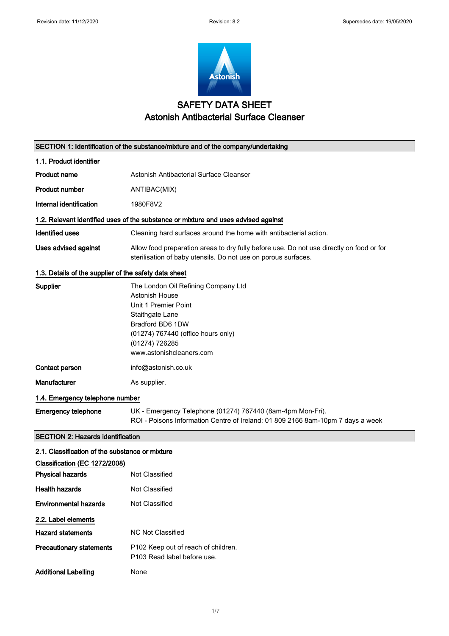

# SAFETY DATA SHEET Astonish Antibacterial Surface Cleanser

| SECTION 1: Identification of the substance/mixture and of the company/undertaking |                                                                                                                                                                                                          |  |
|-----------------------------------------------------------------------------------|----------------------------------------------------------------------------------------------------------------------------------------------------------------------------------------------------------|--|
| 1.1. Product identifier                                                           |                                                                                                                                                                                                          |  |
| <b>Product name</b>                                                               | Astonish Antibacterial Surface Cleanser                                                                                                                                                                  |  |
| <b>Product number</b>                                                             | ANTIBAC(MIX)                                                                                                                                                                                             |  |
| Internal identification                                                           | 1980F8V2                                                                                                                                                                                                 |  |
|                                                                                   | 1.2. Relevant identified uses of the substance or mixture and uses advised against                                                                                                                       |  |
| <b>Identified uses</b>                                                            | Cleaning hard surfaces around the home with antibacterial action.                                                                                                                                        |  |
| Uses advised against                                                              | Allow food preparation areas to dry fully before use. Do not use directly on food or for<br>sterilisation of baby utensils. Do not use on porous surfaces.                                               |  |
| 1.3. Details of the supplier of the safety data sheet                             |                                                                                                                                                                                                          |  |
| Supplier                                                                          | The London Oil Refining Company Ltd<br>Astonish House<br>Unit 1 Premier Point<br>Staithgate Lane<br>Bradford BD6 1DW<br>(01274) 767440 (office hours only)<br>(01274) 726285<br>www.astonishcleaners.com |  |
| Contact person                                                                    | info@astonish.co.uk                                                                                                                                                                                      |  |
| Manufacturer                                                                      | As supplier.                                                                                                                                                                                             |  |
| 1.4. Emergency telephone number                                                   |                                                                                                                                                                                                          |  |
| <b>Emergency telephone</b>                                                        | UK - Emergency Telephone (01274) 767440 (8am-4pm Mon-Fri).<br>ROI - Poisons Information Centre of Ireland: 01 809 2166 8am-10pm 7 days a week                                                            |  |
| <b>SECTION 2: Hazards identification</b>                                          |                                                                                                                                                                                                          |  |
| 2.1. Classification of the substance or mixture                                   |                                                                                                                                                                                                          |  |
| Classification (EC 1272/2008)                                                     |                                                                                                                                                                                                          |  |
| <b>Physical hazards</b>                                                           | Not Classified                                                                                                                                                                                           |  |
| <b>Health hazards</b>                                                             | Not Classified                                                                                                                                                                                           |  |
| <b>Environmental hazards</b>                                                      | Not Classified                                                                                                                                                                                           |  |
| 2.2. Label elements                                                               |                                                                                                                                                                                                          |  |
| <b>Hazard statements</b>                                                          | <b>NC Not Classified</b>                                                                                                                                                                                 |  |
| <b>Precautionary statements</b>                                                   | P102 Keep out of reach of children.<br>P103 Read label before use.                                                                                                                                       |  |
| <b>Additional Labelling</b>                                                       | None                                                                                                                                                                                                     |  |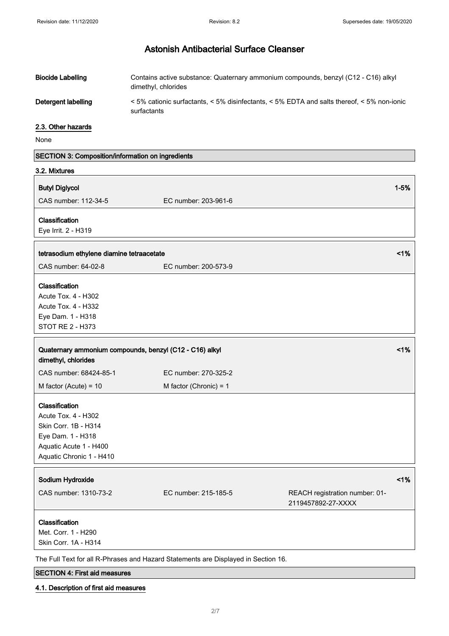| <b>Biocide Labelling</b> | Contains active substance: Quaternary ammonium compounds, benzyl (C12 - C16) alkyl<br>dimethyl, chlorides                     |
|--------------------------|-------------------------------------------------------------------------------------------------------------------------------|
| Detergent labelling      | $\leq$ 5% cationic surfactants, $\leq$ 5% disinfectants, $\leq$ 5% EDTA and salts thereof, $\leq$ 5% non-ionic<br>surfactants |

### 2.3. Other hazards

None

| SECTION 3: Composition/information on ingredients       |                          |                                |          |
|---------------------------------------------------------|--------------------------|--------------------------------|----------|
| 3.2. Mixtures                                           |                          |                                |          |
| <b>Butyl Diglycol</b>                                   |                          |                                | $1 - 5%$ |
| CAS number: 112-34-5                                    | EC number: 203-961-6     |                                |          |
|                                                         |                          |                                |          |
| Classification                                          |                          |                                |          |
| Eye Irrit. 2 - H319                                     |                          |                                |          |
| tetrasodium ethylene diamine tetraacetate               |                          |                                | 1%       |
| CAS number: 64-02-8                                     | EC number: 200-573-9     |                                |          |
| Classification                                          |                          |                                |          |
| Acute Tox. 4 - H302                                     |                          |                                |          |
| Acute Tox. 4 - H332                                     |                          |                                |          |
| Eye Dam. 1 - H318                                       |                          |                                |          |
| STOT RE 2 - H373                                        |                          |                                |          |
|                                                         |                          |                                |          |
| Quaternary ammonium compounds, benzyl (C12 - C16) alkyl |                          |                                | 1%       |
| dimethyl, chlorides                                     |                          |                                |          |
| CAS number: 68424-85-1                                  | EC number: 270-325-2     |                                |          |
| M factor (Acute) = $10$                                 | M factor (Chronic) = $1$ |                                |          |
| Classification                                          |                          |                                |          |
| Acute Tox. 4 - H302                                     |                          |                                |          |
| Skin Corr. 1B - H314                                    |                          |                                |          |
| Eye Dam. 1 - H318                                       |                          |                                |          |
| Aquatic Acute 1 - H400                                  |                          |                                |          |
|                                                         |                          |                                |          |
| Aquatic Chronic 1 - H410                                |                          |                                |          |
| Sodium Hydroxide                                        |                          |                                | 1%       |
| CAS number: 1310-73-2                                   | EC number: 215-185-5     | REACH registration number: 01- |          |
|                                                         |                          | 2119457892-27-XXXX             |          |
| Classification                                          |                          |                                |          |
|                                                         |                          |                                |          |
| Met. Corr. 1 - H290                                     |                          |                                |          |
| Skin Corr. 1A - H314                                    |                          |                                |          |

The Full Text for all R-Phrases and Hazard Statements are Displayed in Section 16.

### SECTION 4: First aid measures

### 4.1. Description of first aid measures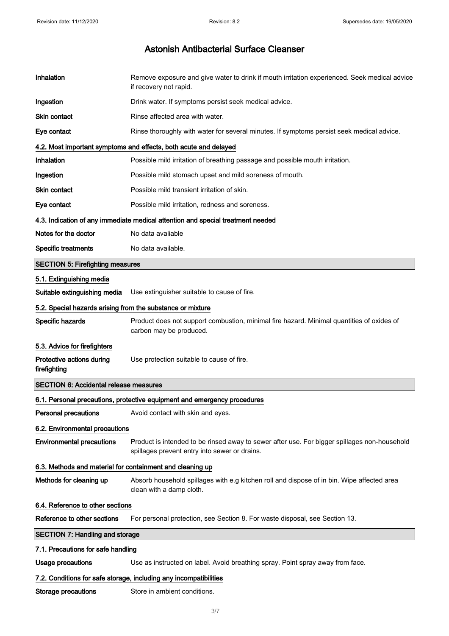| Inhalation                                                 | Remove exposure and give water to drink if mouth irritation experienced. Seek medical advice<br>if recovery not rapid.                        |  |
|------------------------------------------------------------|-----------------------------------------------------------------------------------------------------------------------------------------------|--|
| Ingestion                                                  | Drink water. If symptoms persist seek medical advice.                                                                                         |  |
| <b>Skin contact</b>                                        | Rinse affected area with water.                                                                                                               |  |
| Eye contact                                                | Rinse thoroughly with water for several minutes. If symptoms persist seek medical advice.                                                     |  |
|                                                            | 4.2. Most important symptoms and effects, both acute and delayed                                                                              |  |
| Inhalation                                                 | Possible mild irritation of breathing passage and possible mouth irritation.                                                                  |  |
| Ingestion                                                  | Possible mild stomach upset and mild soreness of mouth.                                                                                       |  |
| Skin contact                                               | Possible mild transient irritation of skin.                                                                                                   |  |
| Eye contact                                                | Possible mild irritation, redness and soreness.                                                                                               |  |
|                                                            | 4.3. Indication of any immediate medical attention and special treatment needed                                                               |  |
| Notes for the doctor                                       | No data avaliable                                                                                                                             |  |
| <b>Specific treatments</b>                                 | No data available.                                                                                                                            |  |
| <b>SECTION 5: Firefighting measures</b>                    |                                                                                                                                               |  |
| 5.1. Extinguishing media                                   |                                                                                                                                               |  |
| Suitable extinguishing media                               | Use extinguisher suitable to cause of fire.                                                                                                   |  |
| 5.2. Special hazards arising from the substance or mixture |                                                                                                                                               |  |
| Specific hazards                                           | Product does not support combustion, minimal fire hazard. Minimal quantities of oxides of<br>carbon may be produced.                          |  |
| 5.3. Advice for firefighters                               |                                                                                                                                               |  |
| Protective actions during<br>firefighting                  | Use protection suitable to cause of fire.                                                                                                     |  |
| <b>SECTION 6: Accidental release measures</b>              |                                                                                                                                               |  |
|                                                            | 6.1. Personal precautions, protective equipment and emergency procedures                                                                      |  |
| <b>Personal precautions</b>                                | Avoid contact with skin and eyes.                                                                                                             |  |
| 6.2. Environmental precautions                             |                                                                                                                                               |  |
| <b>Environmental precautions</b>                           | Product is intended to be rinsed away to sewer after use. For bigger spillages non-household<br>spillages prevent entry into sewer or drains. |  |
|                                                            | 6.3. Methods and material for containment and cleaning up                                                                                     |  |
| Methods for cleaning up                                    |                                                                                                                                               |  |
| 6.4. Reference to other sections                           |                                                                                                                                               |  |
|                                                            | Absorb household spillages with e.g kitchen roll and dispose of in bin. Wipe affected area<br>clean with a damp cloth.                        |  |
| Reference to other sections                                | For personal protection, see Section 8. For waste disposal, see Section 13.                                                                   |  |
| <b>SECTION 7: Handling and storage</b>                     |                                                                                                                                               |  |
| 7.1. Precautions for safe handling                         |                                                                                                                                               |  |
| <b>Usage precautions</b>                                   | Use as instructed on label. Avoid breathing spray. Point spray away from face.                                                                |  |
|                                                            | 7.2. Conditions for safe storage, including any incompatibilities                                                                             |  |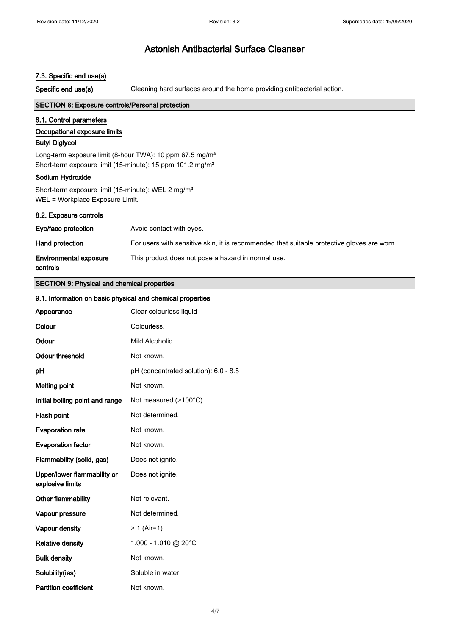#### 7.3. Specific end use(s)

Specific end use(s) Cleaning hard surfaces around the home providing antibacterial action.

#### SECTION 8: Exposure controls/Personal protection

#### 8.1. Control parameters

#### Occupational exposure limits

### Butyl Diglycol

Long-term exposure limit (8-hour TWA): 10 ppm 67.5 mg/m<sup>3</sup> Short-term exposure limit (15-minute): 15 ppm 101.2 mg/m<sup>3</sup>

#### Sodium Hydroxide

Short-term exposure limit (15-minute): WEL 2 mg/m<sup>3</sup> WEL = Workplace Exposure Limit.

#### 8.2. Exposure controls

| Eye/face protection                       | Avoid contact with eyes.                                                                   |
|-------------------------------------------|--------------------------------------------------------------------------------------------|
| Hand protection                           | For users with sensitive skin, it is recommended that suitable protective gloves are worn. |
| <b>Environmental exposure</b><br>controls | This product does not pose a hazard in normal use.                                         |

#### SECTION 9: Physical and chemical properties

| 9.1. Information on basic physical and chemical properties |                                       |
|------------------------------------------------------------|---------------------------------------|
| Appearance                                                 | Clear colourless liquid               |
| Colour                                                     | Colourless.                           |
| Odour                                                      | Mild Alcoholic                        |
| <b>Odour threshold</b>                                     | Not known.                            |
| pH                                                         | pH (concentrated solution): 6.0 - 8.5 |
| <b>Melting point</b>                                       | Not known.                            |
| Initial boiling point and range                            | Not measured (>100°C)                 |
| Flash point                                                | Not determined.                       |
| <b>Evaporation rate</b>                                    | Not known.                            |
| <b>Evaporation factor</b>                                  | Not known.                            |
| Flammability (solid, gas)                                  | Does not ignite.                      |
| Upper/lower flammability or<br>explosive limits            | Does not ignite.                      |
| Other flammability                                         | Not relevant.                         |
| Vapour pressure                                            | Not determined.                       |
| Vapour density                                             | $> 1$ (Air=1)                         |
| <b>Relative density</b>                                    | 1.000 - 1.010 @ 20°C                  |
| <b>Bulk density</b>                                        | Not known.                            |
| Solubility(ies)                                            | Soluble in water                      |
| <b>Partition coefficient</b>                               | Not known.                            |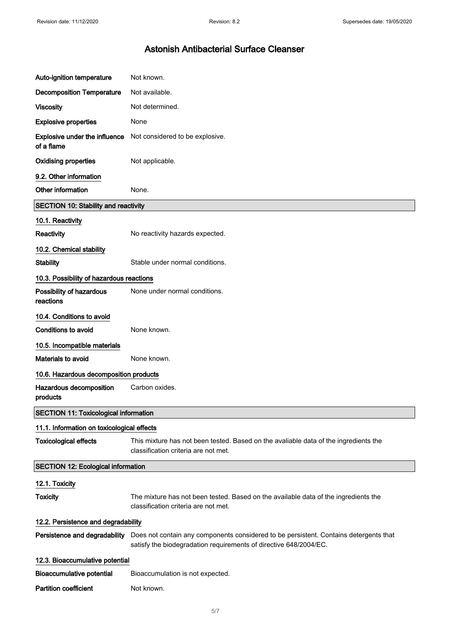| Auto-ignition temperature                    | Not known.                                                                                                                                                 |
|----------------------------------------------|------------------------------------------------------------------------------------------------------------------------------------------------------------|
| <b>Decomposition Temperature</b>             | Not available.                                                                                                                                             |
| <b>Viscosity</b>                             | Not determined.                                                                                                                                            |
| <b>Explosive properties</b>                  | None                                                                                                                                                       |
| Explosive under the influence<br>of a flame  | Not considered to be explosive.                                                                                                                            |
| <b>Oxidising properties</b>                  | Not applicable.                                                                                                                                            |
| 9.2. Other information                       |                                                                                                                                                            |
| Other information                            | None.                                                                                                                                                      |
| <b>SECTION 10: Stability and reactivity</b>  |                                                                                                                                                            |
| 10.1. Reactivity                             |                                                                                                                                                            |
| Reactivity                                   | No reactivity hazards expected.                                                                                                                            |
| 10.2. Chemical stability                     |                                                                                                                                                            |
| <b>Stability</b>                             | Stable under normal conditions.                                                                                                                            |
| 10.3. Possibility of hazardous reactions     |                                                                                                                                                            |
| Possibility of hazardous<br>reactions        | None under normal conditions.                                                                                                                              |
| 10.4. Conditions to avoid                    |                                                                                                                                                            |
| <b>Conditions to avoid</b>                   | None known.                                                                                                                                                |
| 10.5. Incompatible materials                 |                                                                                                                                                            |
| Materials to avoid                           | None known.                                                                                                                                                |
| 10.6. Hazardous decomposition products       |                                                                                                                                                            |
| Hazardous decomposition<br>products          | Carbon oxides.                                                                                                                                             |
| <b>SECTION 11: Toxicological information</b> |                                                                                                                                                            |
| 11.1. Information on toxicological effects   |                                                                                                                                                            |
| <b>Toxicological effects</b>                 | This mixture has not been tested. Based on the avaliable data of the ingredients the<br>classification criteria are not met.                               |
| <b>SECTION 12: Ecological information</b>    |                                                                                                                                                            |
| 12.1. Toxicity                               |                                                                                                                                                            |
| <b>Toxicity</b>                              | The mixture has not been tested. Based on the available data of the ingredients the<br>classification criteria are not met.                                |
| 12.2. Persistence and degradability          |                                                                                                                                                            |
| Persistence and degradability                | Does not contain any components considered to be persistent. Contains detergents that<br>satisfy the biodegradation requirements of directive 648/2004/EC. |
| 12.3. Bioaccumulative potential              |                                                                                                                                                            |
| <b>Bioaccumulative potential</b>             | Bioaccumulation is not expected.                                                                                                                           |
| <b>Partition coefficient</b>                 | Not known.                                                                                                                                                 |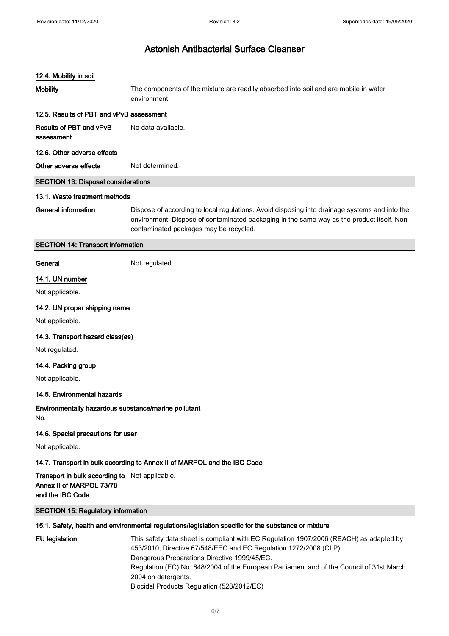### 12.4. Mobility in soil

| <b>IZ.4. MODIILY III SUII</b>                                                                  |                                                                                                                                                                                                                                                                                                                                |
|------------------------------------------------------------------------------------------------|--------------------------------------------------------------------------------------------------------------------------------------------------------------------------------------------------------------------------------------------------------------------------------------------------------------------------------|
| <b>Mobility</b>                                                                                | The components of the mixture are readily absorbed into soil and are mobile in water<br>environment.                                                                                                                                                                                                                           |
| 12.5. Results of PBT and vPvB assessment                                                       |                                                                                                                                                                                                                                                                                                                                |
| Results of PBT and vPvB<br>assessment                                                          | No data available.                                                                                                                                                                                                                                                                                                             |
| 12.6. Other adverse effects                                                                    |                                                                                                                                                                                                                                                                                                                                |
| Other adverse effects                                                                          | Not determined.                                                                                                                                                                                                                                                                                                                |
| <b>SECTION 13: Disposal considerations</b>                                                     |                                                                                                                                                                                                                                                                                                                                |
| 13.1. Waste treatment methods                                                                  |                                                                                                                                                                                                                                                                                                                                |
| <b>General information</b>                                                                     | Dispose of according to local regulations. Avoid disposing into drainage systems and into the<br>environment. Dispose of contaminated packaging in the same way as the product itself. Non-<br>contaminated packages may be recycled.                                                                                          |
| <b>SECTION 14: Transport information</b>                                                       |                                                                                                                                                                                                                                                                                                                                |
| General                                                                                        | Not regulated.                                                                                                                                                                                                                                                                                                                 |
| 14.1. UN number                                                                                |                                                                                                                                                                                                                                                                                                                                |
| Not applicable.                                                                                |                                                                                                                                                                                                                                                                                                                                |
| 14.2. UN proper shipping name                                                                  |                                                                                                                                                                                                                                                                                                                                |
| Not applicable.                                                                                |                                                                                                                                                                                                                                                                                                                                |
| 14.3. Transport hazard class(es)                                                               |                                                                                                                                                                                                                                                                                                                                |
| Not regulated.                                                                                 |                                                                                                                                                                                                                                                                                                                                |
| 14.4. Packing group                                                                            |                                                                                                                                                                                                                                                                                                                                |
| Not applicable.                                                                                |                                                                                                                                                                                                                                                                                                                                |
| 14.5. Environmental hazards                                                                    |                                                                                                                                                                                                                                                                                                                                |
| Environmentally hazardous substance/marine pollutant<br>No.                                    |                                                                                                                                                                                                                                                                                                                                |
| 14.6. Special precautions for user                                                             |                                                                                                                                                                                                                                                                                                                                |
| Not applicable.                                                                                |                                                                                                                                                                                                                                                                                                                                |
|                                                                                                | 14.7. Transport in bulk according to Annex II of MARPOL and the IBC Code                                                                                                                                                                                                                                                       |
| Transport in bulk according to Not applicable.<br>Annex II of MARPOL 73/78<br>and the IBC Code |                                                                                                                                                                                                                                                                                                                                |
| <b>SECTION 15: Regulatory information</b>                                                      |                                                                                                                                                                                                                                                                                                                                |
|                                                                                                | 15.1. Safety, health and environmental regulations/legislation specific for the substance or mixture                                                                                                                                                                                                                           |
| <b>EU</b> legislation                                                                          | This safety data sheet is compliant with EC Regulation 1907/2006 (REACH) as adapted by<br>453/2010, Directive 67/548/EEC and EC Regulation 1272/2008 (CLP).<br>Dangerous Preparations Directive 1999/45/EC.<br>Regulation (EC) No. 648/2004 of the European Parliament and of the Council of 31st March<br>2004 on detergents. |

Biocidal Products Regulation (528/2012/EC)